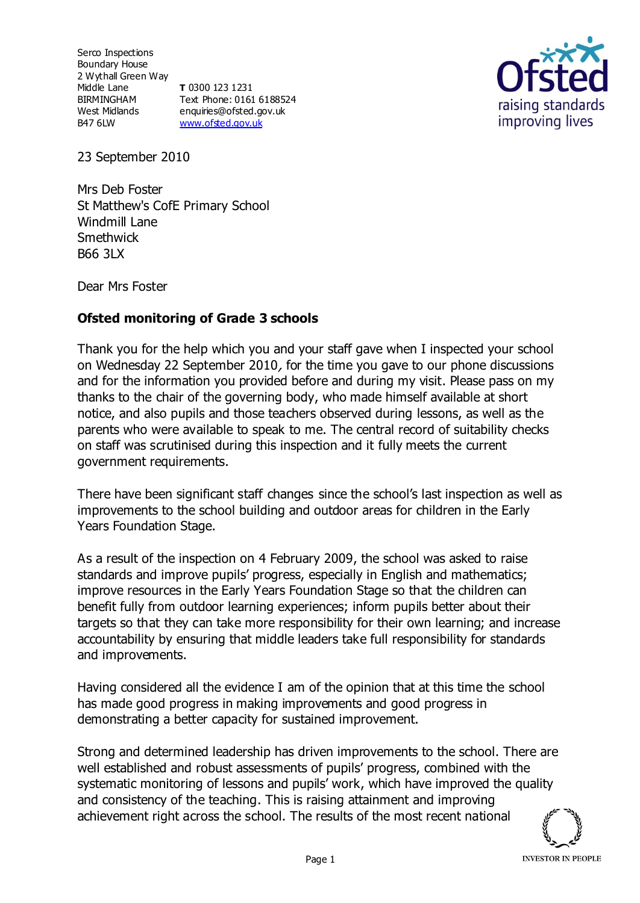Serco Inspections Boundary House 2 Wythall Green Way Middle Lane BIRMINGHAM West Midlands B47 6LW **T** 0300 123 1231 Text Phone: 0161 6188524 enquiries@ofsted.gov.uk [www.ofsted.gov.uk](http://www.ofsted.gov.uk)



23 September 2010

Mrs Deb Foster St Matthew's CofE Primary School Windmill Lane **Smethwick** B66 3LX

Dear Mrs Foster

## **Ofsted monitoring of Grade 3 schools**

Thank you for the help which you and your staff gave when I inspected your school on Wednesday 22 September 2010, for the time you gave to our phone discussions and for the information you provided before and during my visit. Please pass on my thanks to the chair of the governing body, who made himself available at short notice, and also pupils and those teachers observed during lessons, as well as the parents who were available to speak to me. The central record of suitability checks on staff was scrutinised during this inspection and it fully meets the current government requirements.

There have been significant staff changes since the school's last inspection as well as improvements to the school building and outdoor areas for children in the Early Years Foundation Stage.

As a result of the inspection on 4 February 2009, the school was asked to raise standards and improve pupils' progress, especially in English and mathematics; improve resources in the Early Years Foundation Stage so that the children can benefit fully from outdoor learning experiences; inform pupils better about their targets so that they can take more responsibility for their own learning; and increase accountability by ensuring that middle leaders take full responsibility for standards and improvements.

Having considered all the evidence I am of the opinion that at this time the school has made good progress in making improvements and good progress in demonstrating a better capacity for sustained improvement.

Strong and determined leadership has driven improvements to the school. There are well established and robust assessments of pupils' progress, combined with the systematic monitoring of lessons and pupils' work, which have improved the quality and consistency of the teaching. This is raising attainment and improving achievement right across the school. The results of the most recent national